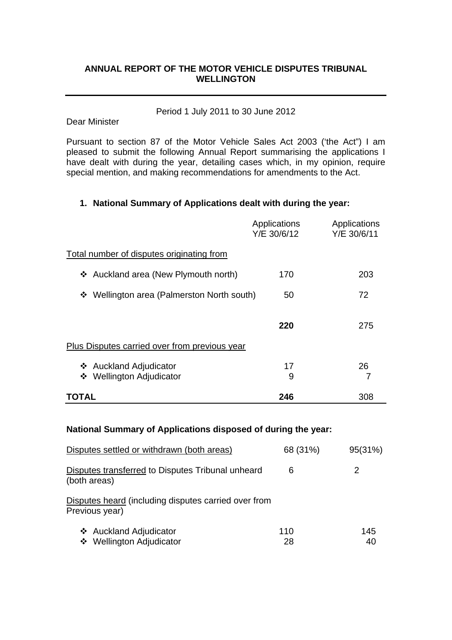# **ANNUAL REPORT OF THE MOTOR VEHICLE DISPUTES TRIBUNAL WELLINGTON**

## Period 1 July 2011 to 30 June 2012

#### Dear Minister

Pursuant to section 87 of the Motor Vehicle Sales Act 2003 ('the Act") I am pleased to submit the following Annual Report summarising the applications I have dealt with during the year, detailing cases which, in my opinion, require special mention, and making recommendations for amendments to the Act.

## **1. National Summary of Applications dealt with during the year:**

|                                                    | Applications<br>Y/E 30/6/12 | Applications<br>Y/E 30/6/11 |
|----------------------------------------------------|-----------------------------|-----------------------------|
| Total number of disputes originating from          |                             |                             |
| ❖ Auckland area (New Plymouth north)               | 170                         | 203                         |
| ❖ Wellington area (Palmerston North south)         | 50                          | 72                          |
|                                                    | 220                         | 275                         |
| Plus Disputes carried over from previous year      |                             |                             |
| ❖ Auckland Adjudicator<br>❖ Wellington Adjudicator | 17<br>9                     | 26<br>7                     |
| TOTAL                                              | 246                         | 308                         |

## **National Summary of Applications disposed of during the year:**

| Disputes settled or withdrawn (both areas)                             | 68 (31%)  | 95(31%)   |
|------------------------------------------------------------------------|-----------|-----------|
| Disputes transferred to Disputes Tribunal unheard<br>(both areas)      | 6         | 2         |
| Disputes heard (including disputes carried over from<br>Previous year) |           |           |
| ❖ Auckland Adjudicator<br>❖ Wellington Adjudicator                     | 110<br>28 | 145<br>40 |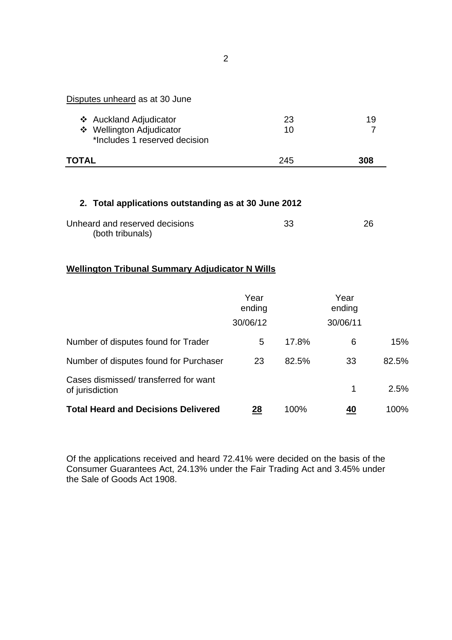| Disputes unheard as at 30 June                            |     |     |
|-----------------------------------------------------------|-----|-----|
| ❖ Auckland Adjudicator                                    | 23  | 19  |
| ❖ Wellington Adjudicator<br>*Includes 1 reserved decision | 10  |     |
| TOTAL                                                     | 245 | 308 |

# **2. Total applications outstanding as at 30 June 2012**

| Unheard and reserved decisions | 33 | 26 |
|--------------------------------|----|----|
| (both tribunals)               |    |    |

# **Wellington Tribunal Summary Adjudicator N Wills**

|                                                         | Year<br>ending<br>30/06/12 |       | Year<br>ending<br>30/06/11 |       |
|---------------------------------------------------------|----------------------------|-------|----------------------------|-------|
| Number of disputes found for Trader                     | 5                          | 17.8% | 6                          | 15%   |
| Number of disputes found for Purchaser                  | 23                         | 82.5% | 33                         | 82.5% |
| Cases dismissed/transferred for want<br>of jurisdiction |                            |       | 1                          | 2.5%  |
| <b>Total Heard and Decisions Delivered</b>              | 28                         | 100%  | 40                         | 100%  |

Of the applications received and heard 72.41% were decided on the basis of the Consumer Guarantees Act, 24.13% under the Fair Trading Act and 3.45% under the Sale of Goods Act 1908.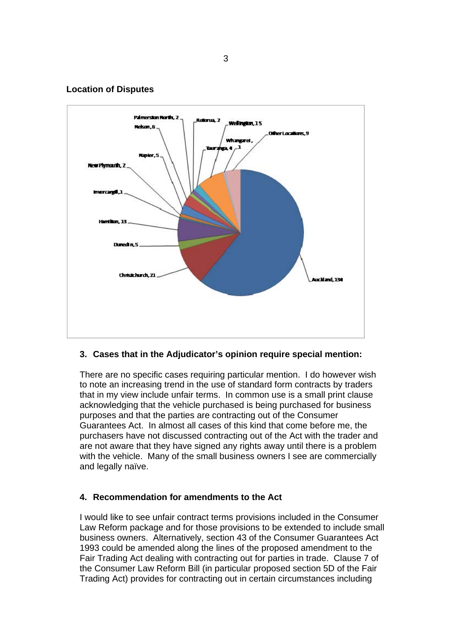#### **Location of Disputes**



### **3. Cases that in the Adjudicator's opinion require special mention:**

There are no specific cases requiring particular mention. I do however wish to note an increasing trend in the use of standard form contracts by traders that in my view include unfair terms. In common use is a small print clause acknowledging that the vehicle purchased is being purchased for business purposes and that the parties are contracting out of the Consumer Guarantees Act. In almost all cases of this kind that come before me, the purchasers have not discussed contracting out of the Act with the trader and are not aware that they have signed any rights away until there is a problem with the vehicle. Many of the small business owners I see are commercially and legally naïve.

### **4. Recommendation for amendments to the Act**

I would like to see unfair contract terms provisions included in the Consumer Law Reform package and for those provisions to be extended to include small business owners. Alternatively, section 43 of the Consumer Guarantees Act 1993 could be amended along the lines of the proposed amendment to the Fair Trading Act dealing with contracting out for parties in trade. Clause 7 of the Consumer Law Reform Bill (in particular proposed section 5D of the Fair Trading Act) provides for contracting out in certain circumstances including